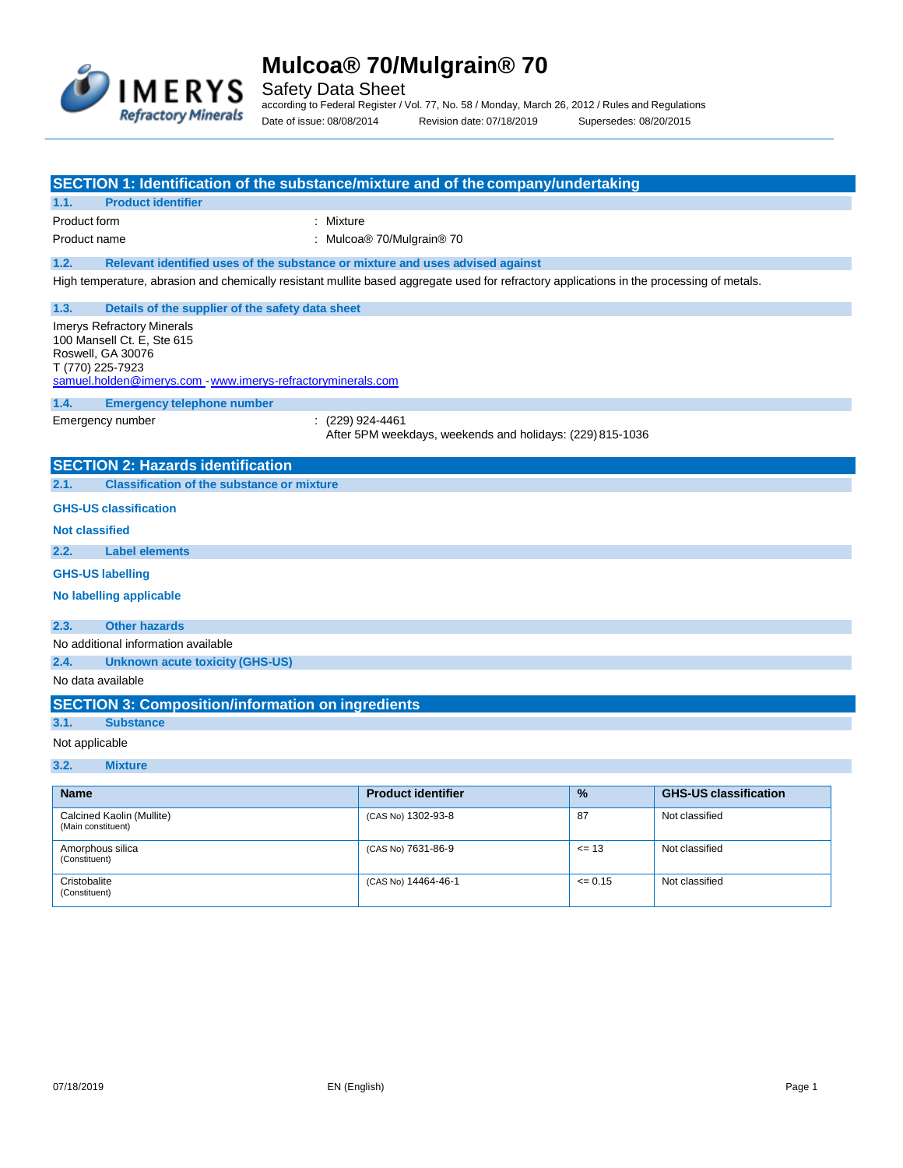

Safety Data Sheet

according to Federal Register / Vol. 77, No. 58 / Monday, March 26, 2012 / Rules and Regulations Date of issue: 08/08/2014 Revision date: 07/18/2019 Supersedes: 08/20/2015

| SECTION 1: Identification of the substance/mixture and of the company/undertaking                                                                               |                                                                               |        |                              |
|-----------------------------------------------------------------------------------------------------------------------------------------------------------------|-------------------------------------------------------------------------------|--------|------------------------------|
| <b>Product identifier</b><br>1.1.                                                                                                                               |                                                                               |        |                              |
| Product form                                                                                                                                                    | : Mixture                                                                     |        |                              |
| Product name                                                                                                                                                    | : Mulcoa® 70/Mulgrain® 70                                                     |        |                              |
| 1.2.<br>Relevant identified uses of the substance or mixture and uses advised against                                                                           |                                                                               |        |                              |
| High temperature, abrasion and chemically resistant mullite based aggregate used for refractory applications in the processing of metals.                       |                                                                               |        |                              |
| 1.3.<br>Details of the supplier of the safety data sheet                                                                                                        |                                                                               |        |                              |
| Imerys Refractory Minerals<br>100 Mansell Ct. E. Ste 615<br>Roswell, GA 30076<br>T (770) 225-7923<br>samuel.holden@imerys.com www.imerys-refractoryminerals.com |                                                                               |        |                              |
| 1.4.<br><b>Emergency telephone number</b>                                                                                                                       |                                                                               |        |                              |
| Emergency number                                                                                                                                                | : (229) 924-4461<br>After 5PM weekdays, weekends and holidays: (229) 815-1036 |        |                              |
|                                                                                                                                                                 |                                                                               |        |                              |
| <b>SECTION 2: Hazards identification</b>                                                                                                                        |                                                                               |        |                              |
| 2.1.<br><b>Classification of the substance or mixture</b>                                                                                                       |                                                                               |        |                              |
| <b>GHS-US classification</b>                                                                                                                                    |                                                                               |        |                              |
| <b>Not classified</b>                                                                                                                                           |                                                                               |        |                              |
| 2.2.<br><b>Label elements</b>                                                                                                                                   |                                                                               |        |                              |
| <b>GHS-US labelling</b>                                                                                                                                         |                                                                               |        |                              |
| No labelling applicable                                                                                                                                         |                                                                               |        |                              |
| <b>Other hazards</b><br>2.3.                                                                                                                                    |                                                                               |        |                              |
| No additional information available                                                                                                                             |                                                                               |        |                              |
| 2.4.<br>Unknown acute toxicity (GHS-US)                                                                                                                         |                                                                               |        |                              |
| No data available                                                                                                                                               |                                                                               |        |                              |
| <b>SECTION 3: Composition/information on ingredients</b>                                                                                                        |                                                                               |        |                              |
| 3.1.<br><b>Substance</b>                                                                                                                                        |                                                                               |        |                              |
| Not applicable                                                                                                                                                  |                                                                               |        |                              |
| 3.2.<br><b>Mixture</b>                                                                                                                                          |                                                                               |        |                              |
| <b>Name</b>                                                                                                                                                     | <b>Product identifier</b>                                                     | %      | <b>GHS-US classification</b> |
| Calcined Kaolin (Mullite)<br>(Main constituent)                                                                                                                 | (CAS No) 1302-93-8                                                            | 87     | Not classified               |
| Amorphous silica<br>(Constituent)                                                                                                                               | (CAS No) 7631-86-9                                                            | $= 13$ | Not classified               |

 $(CAS No)$  14464-46-1  $\leq 0.15$  Not classified

**Cristobalite** (Constituent)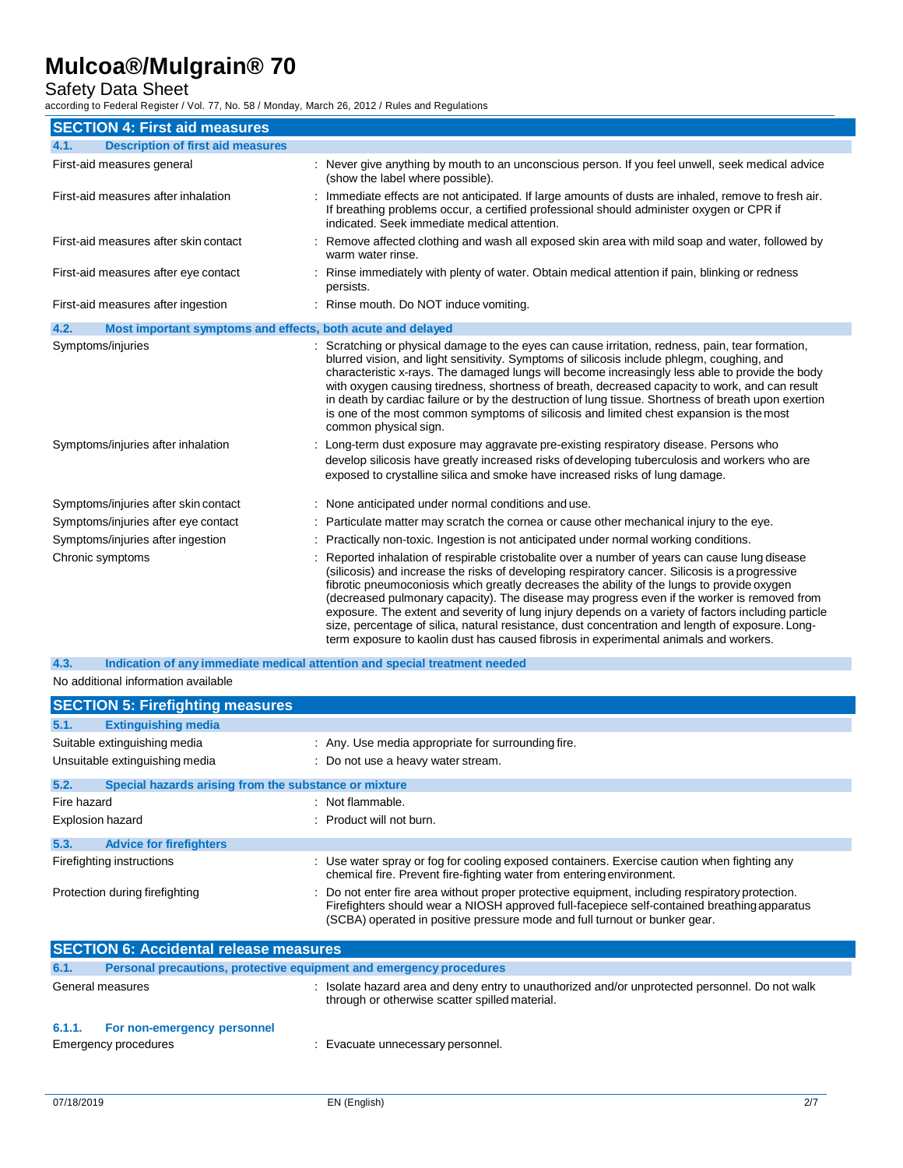Safety Data Sheet

according to Federal Register / Vol. 77, No. 58 / Monday, March 26, 2012 / Rules and Regulations

| <b>SECTION 4: First aid measures</b>                                |                                                                                                                                                                                                                                                                                                                                                                                                                                                                                                                                                                                                                                                                                                  |
|---------------------------------------------------------------------|--------------------------------------------------------------------------------------------------------------------------------------------------------------------------------------------------------------------------------------------------------------------------------------------------------------------------------------------------------------------------------------------------------------------------------------------------------------------------------------------------------------------------------------------------------------------------------------------------------------------------------------------------------------------------------------------------|
| <b>Description of first aid measures</b><br>4.1.                    |                                                                                                                                                                                                                                                                                                                                                                                                                                                                                                                                                                                                                                                                                                  |
| First-aid measures general                                          | : Never give anything by mouth to an unconscious person. If you feel unwell, seek medical advice<br>(show the label where possible).                                                                                                                                                                                                                                                                                                                                                                                                                                                                                                                                                             |
| First-aid measures after inhalation                                 | Immediate effects are not anticipated. If large amounts of dusts are inhaled, remove to fresh air.<br>If breathing problems occur, a certified professional should administer oxygen or CPR if<br>indicated. Seek immediate medical attention.                                                                                                                                                                                                                                                                                                                                                                                                                                                   |
| First-aid measures after skin contact                               | Remove affected clothing and wash all exposed skin area with mild soap and water, followed by<br>warm water rinse.                                                                                                                                                                                                                                                                                                                                                                                                                                                                                                                                                                               |
| First-aid measures after eye contact                                | Rinse immediately with plenty of water. Obtain medical attention if pain, blinking or redness<br>persists.                                                                                                                                                                                                                                                                                                                                                                                                                                                                                                                                                                                       |
| First-aid measures after ingestion                                  | : Rinse mouth. Do NOT induce vomiting.                                                                                                                                                                                                                                                                                                                                                                                                                                                                                                                                                                                                                                                           |
| 4.2.<br>Most important symptoms and effects, both acute and delayed |                                                                                                                                                                                                                                                                                                                                                                                                                                                                                                                                                                                                                                                                                                  |
| Symptoms/injuries                                                   | : Scratching or physical damage to the eyes can cause irritation, redness, pain, tear formation,<br>blurred vision, and light sensitivity. Symptoms of silicosis include phlegm, coughing, and<br>characteristic x-rays. The damaged lungs will become increasingly less able to provide the body<br>with oxygen causing tiredness, shortness of breath, decreased capacity to work, and can result<br>in death by cardiac failure or by the destruction of lung tissue. Shortness of breath upon exertion<br>is one of the most common symptoms of silicosis and limited chest expansion is the most<br>common physical sign.                                                                   |
| Symptoms/injuries after inhalation                                  | : Long-term dust exposure may aggravate pre-existing respiratory disease. Persons who<br>develop silicosis have greatly increased risks of developing tuberculosis and workers who are<br>exposed to crystalline silica and smoke have increased risks of lung damage.                                                                                                                                                                                                                                                                                                                                                                                                                           |
| Symptoms/injuries after skin contact                                | : None anticipated under normal conditions and use.                                                                                                                                                                                                                                                                                                                                                                                                                                                                                                                                                                                                                                              |
| Symptoms/injuries after eye contact                                 | : Particulate matter may scratch the cornea or cause other mechanical injury to the eye.                                                                                                                                                                                                                                                                                                                                                                                                                                                                                                                                                                                                         |
| Symptoms/injuries after ingestion                                   | Practically non-toxic. Ingestion is not anticipated under normal working conditions.                                                                                                                                                                                                                                                                                                                                                                                                                                                                                                                                                                                                             |
| Chronic symptoms                                                    | Reported inhalation of respirable cristobalite over a number of years can cause lung disease<br>(silicosis) and increase the risks of developing respiratory cancer. Silicosis is a progressive<br>fibrotic pneumoconiosis which greatly decreases the ability of the lungs to provide oxygen<br>(decreased pulmonary capacity). The disease may progress even if the worker is removed from<br>exposure. The extent and severity of lung injury depends on a variety of factors including particle<br>size, percentage of silica, natural resistance, dust concentration and length of exposure. Long-<br>term exposure to kaolin dust has caused fibrosis in experimental animals and workers. |

No additional information available **4.3. Indication of any immediate medical attention and special treatment needed**

|                  | <b>SECTION 5: Firefighting measures</b>               |                                                                                                                                                                                                                                                                              |
|------------------|-------------------------------------------------------|------------------------------------------------------------------------------------------------------------------------------------------------------------------------------------------------------------------------------------------------------------------------------|
| 5.1.             | <b>Extinguishing media</b>                            |                                                                                                                                                                                                                                                                              |
|                  | Suitable extinguishing media                          | : Any. Use media appropriate for surrounding fire.                                                                                                                                                                                                                           |
|                  | Unsuitable extinguishing media                        | : Do not use a heavy water stream.                                                                                                                                                                                                                                           |
| 5.2.             | Special hazards arising from the substance or mixture |                                                                                                                                                                                                                                                                              |
| Fire hazard      |                                                       | : Not flammable.                                                                                                                                                                                                                                                             |
| Explosion hazard |                                                       | $:$ Product will not burn.                                                                                                                                                                                                                                                   |
| 5.3.             | <b>Advice for firefighters</b>                        |                                                                                                                                                                                                                                                                              |
|                  | Firefighting instructions                             | : Use water spray or fog for cooling exposed containers. Exercise caution when fighting any<br>chemical fire. Prevent fire-fighting water from entering environment.                                                                                                         |
|                  | Protection during firefighting                        | : Do not enter fire area without proper protective equipment, including respiratory protection.<br>Firefighters should wear a NIOSH approved full-facepiece self-contained breathing apparatus<br>(SCBA) operated in positive pressure mode and full turnout or bunker gear. |
|                  | <b>CECTION 6: Accidental release measures</b>         |                                                                                                                                                                                                                                                                              |

| <b>SECTION 6: Accidental release measures</b> |                                                                     |                                                                                                                                                |
|-----------------------------------------------|---------------------------------------------------------------------|------------------------------------------------------------------------------------------------------------------------------------------------|
| 6.1.                                          | Personal precautions, protective equipment and emergency procedures |                                                                                                                                                |
| General measures                              |                                                                     | Isolate hazard area and deny entry to unauthorized and/or unprotected personnel. Do not walk<br>through or otherwise scatter spilled material. |
| 6.1.1.                                        | For non-emergency personnel<br>Emergency procedures                 | Evacuate unnecessary personnel.                                                                                                                |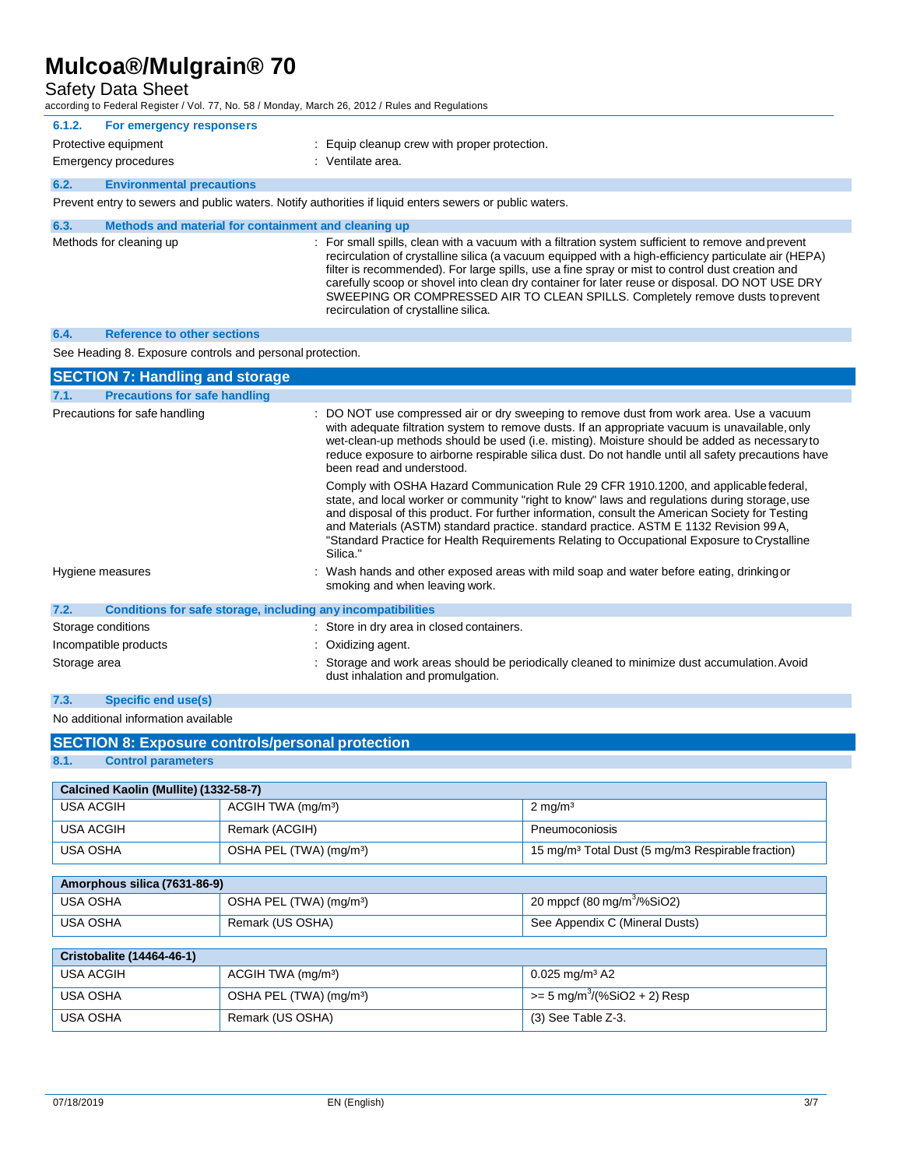Safety Data Sheet

according to Federal Register / Vol. 77, No. 58 / Monday, March 26, 2012 / Rules and Regulations

| 6.1.2.                                                                                                  | For emergency responsers                             |                                              |
|---------------------------------------------------------------------------------------------------------|------------------------------------------------------|----------------------------------------------|
|                                                                                                         | Protective equipment                                 | : Equip cleanup crew with proper protection. |
|                                                                                                         | Emergency procedures                                 | $\therefore$ Ventilate area.                 |
| 6.2.                                                                                                    | <b>Environmental precautions</b>                     |                                              |
| Prevent entry to sewers and public waters. Notify authorities if liquid enters sewers or public waters. |                                                      |                                              |
| 6.3.                                                                                                    | Methods and material for containment and cleaning up |                                              |

| Methods for cleaning up | : For small spills, clean with a vacuum with a filtration system sufficient to remove and prevent<br>recirculation of crystalline silica (a vacuum equipped with a high-efficiency particulate air (HEPA)<br>filter is recommended). For large spills, use a fine spray or mist to control dust creation and<br>carefully scoop or shovel into clean dry container for later reuse or disposal. DO NOT USE DRY |
|-------------------------|----------------------------------------------------------------------------------------------------------------------------------------------------------------------------------------------------------------------------------------------------------------------------------------------------------------------------------------------------------------------------------------------------------------|
|                         | SWEEPING OR COMPRESSED AIR TO CLEAN SPILLS. Completely remove dusts to prevent<br>recirculation of crystalline silica.                                                                                                                                                                                                                                                                                         |

#### **6.4. Reference to other sections**

See Heading 8. Exposure controls and personal protection.

| <b>SECTION 7: Handling and storage</b>                               |                                                                                                                                                                                                                                                                                                                                                                                                                                                                                             |
|----------------------------------------------------------------------|---------------------------------------------------------------------------------------------------------------------------------------------------------------------------------------------------------------------------------------------------------------------------------------------------------------------------------------------------------------------------------------------------------------------------------------------------------------------------------------------|
| <b>Precautions for safe handling</b><br>7.1.                         |                                                                                                                                                                                                                                                                                                                                                                                                                                                                                             |
| Precautions for safe handling                                        | : DO NOT use compressed air or dry sweeping to remove dust from work area. Use a vacuum<br>with adequate filtration system to remove dusts. If an appropriate vacuum is unavailable, only<br>wet-clean-up methods should be used (i.e. misting). Moisture should be added as necessary to<br>reduce exposure to airborne respirable silica dust. Do not handle until all safety precautions have<br>been read and understood.                                                               |
|                                                                      | Comply with OSHA Hazard Communication Rule 29 CFR 1910.1200, and applicable federal,<br>state, and local worker or community "right to know" laws and regulations during storage, use<br>and disposal of this product. For further information, consult the American Society for Testing<br>and Materials (ASTM) standard practice. standard practice. ASTM E 1132 Revision 99A,<br>"Standard Practice for Health Requirements Relating to Occupational Exposure to Crystalline<br>Silica." |
| Hygiene measures                                                     | : Wash hands and other exposed areas with mild soap and water before eating, drinking or<br>smoking and when leaving work.                                                                                                                                                                                                                                                                                                                                                                  |
| 7.2.<br>Conditions for safe storage, including any incompatibilities |                                                                                                                                                                                                                                                                                                                                                                                                                                                                                             |
| Storage conditions                                                   | : Store in dry area in closed containers.                                                                                                                                                                                                                                                                                                                                                                                                                                                   |
| Incompatible products                                                | : Oxidizing agent.                                                                                                                                                                                                                                                                                                                                                                                                                                                                          |
| Storage area                                                         | : Storage and work areas should be periodically cleaned to minimize dust accumulation. Avoid<br>dust inhalation and promulgation.                                                                                                                                                                                                                                                                                                                                                           |

### **7.3. Specific end use(s)**

No additional information available

| <b>SECTION 8: Exposure controls/personal protection</b> |                                     |                                                               |  |  |
|---------------------------------------------------------|-------------------------------------|---------------------------------------------------------------|--|--|
| 8.1.<br><b>Control parameters</b>                       |                                     |                                                               |  |  |
|                                                         |                                     |                                                               |  |  |
| Calcined Kaolin (Mullite) (1332-58-7)                   |                                     |                                                               |  |  |
| <b>USA ACGIH</b>                                        | ACGIH TWA (mg/m <sup>3</sup> )      | $2 \text{ mg/m}^3$                                            |  |  |
| <b>USA ACGIH</b>                                        | Remark (ACGIH)                      | Pneumoconiosis                                                |  |  |
| <b>USA OSHA</b>                                         | OSHA PEL (TWA) (mg/m <sup>3</sup> ) | 15 mg/m <sup>3</sup> Total Dust (5 mg/m3 Respirable fraction) |  |  |
|                                                         |                                     |                                                               |  |  |
| Amorphous silica (7631-86-9)                            |                                     |                                                               |  |  |
| <b>USA OSHA</b>                                         | OSHA PEL (TWA) (mg/m <sup>3</sup> ) | 20 mppcf $(80 \text{ mg/m}^3/\% \text{SiO2})$                 |  |  |
| <b>USA OSHA</b>                                         | Remark (US OSHA)                    | See Appendix C (Mineral Dusts)                                |  |  |
|                                                         |                                     |                                                               |  |  |
| <b>Cristobalite (14464-46-1)</b>                        |                                     |                                                               |  |  |
| <b>USA ACGIH</b>                                        | ACGIH TWA (mg/m <sup>3</sup> )      | $0.025$ mg/m <sup>3</sup> A2                                  |  |  |
| USA OSHA                                                | OSHA PEL (TWA) (mg/m <sup>3</sup> ) | $= 5$ mg/m <sup>3</sup> /(%SiO2 + 2) Resp                     |  |  |
| <b>USA OSHA</b>                                         | Remark (US OSHA)                    | $(3)$ See Table Z-3.                                          |  |  |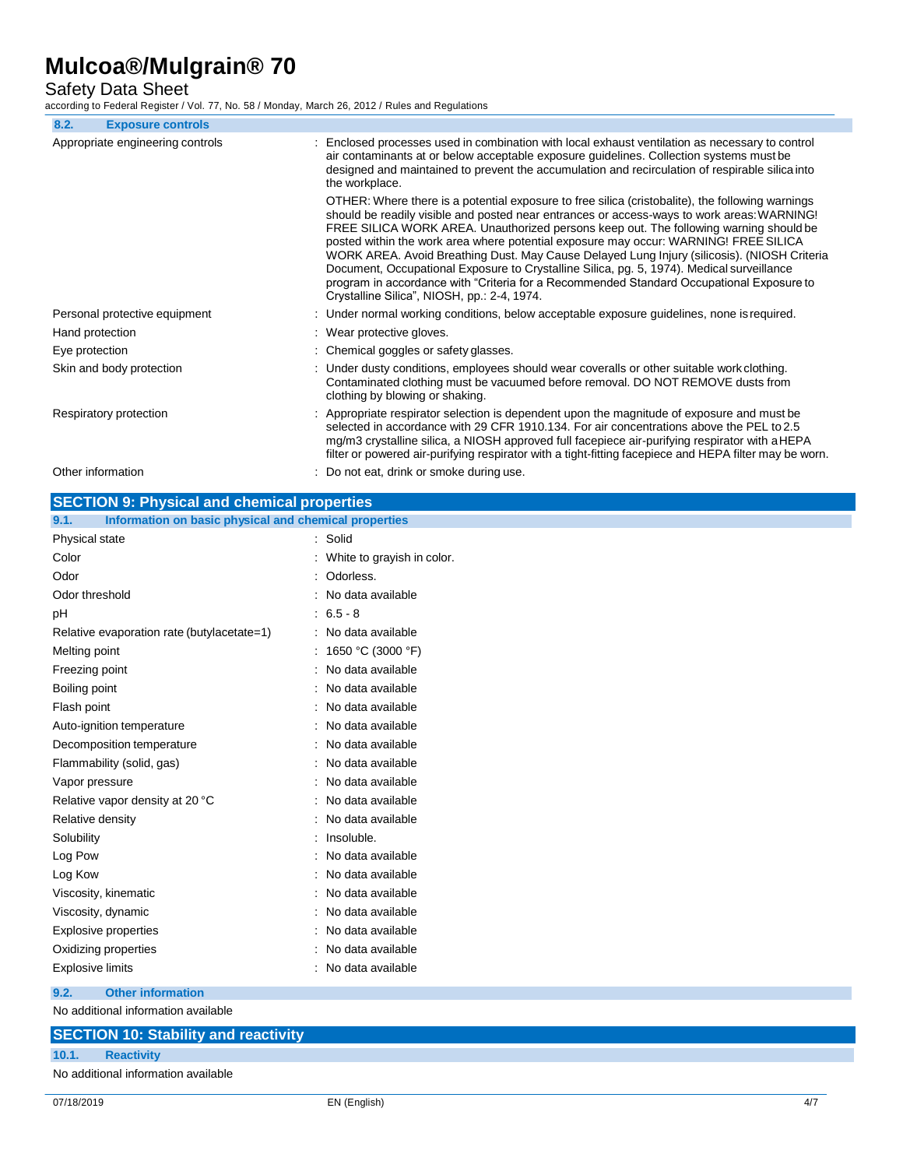Safety Data Sheet

according to Federal Register / Vol. 77, No. 58 / Monday, March 26, 2012 / Rules and Regulations

| 8.2.                             | <b>Exposure controls</b>      |                                                                                                                                                                                                                                                                                                                                                                                                                                                                                                                                                                                                                                                                                                                        |
|----------------------------------|-------------------------------|------------------------------------------------------------------------------------------------------------------------------------------------------------------------------------------------------------------------------------------------------------------------------------------------------------------------------------------------------------------------------------------------------------------------------------------------------------------------------------------------------------------------------------------------------------------------------------------------------------------------------------------------------------------------------------------------------------------------|
| Appropriate engineering controls |                               | : Enclosed processes used in combination with local exhaust ventilation as necessary to control<br>air contaminants at or below acceptable exposure guidelines. Collection systems must be<br>designed and maintained to prevent the accumulation and recirculation of respirable silica into<br>the workplace.                                                                                                                                                                                                                                                                                                                                                                                                        |
|                                  |                               | OTHER: Where there is a potential exposure to free silica (cristobalite), the following warnings<br>should be readily visible and posted near entrances or access-ways to work areas: WARNING!<br>FREE SILICA WORK AREA. Unauthorized persons keep out. The following warning should be<br>posted within the work area where potential exposure may occur: WARNING! FREE SILICA<br>WORK AREA. Avoid Breathing Dust. May Cause Delayed Lung Injury (silicosis). (NIOSH Criteria<br>Document, Occupational Exposure to Crystalline Silica, pg. 5, 1974). Medical surveillance<br>program in accordance with "Criteria for a Recommended Standard Occupational Exposure to<br>Crystalline Silica", NIOSH, pp.: 2-4, 1974. |
|                                  | Personal protective equipment | : Under normal working conditions, below acceptable exposure guidelines, none is required.                                                                                                                                                                                                                                                                                                                                                                                                                                                                                                                                                                                                                             |
| Hand protection                  |                               | : Wear protective gloves.                                                                                                                                                                                                                                                                                                                                                                                                                                                                                                                                                                                                                                                                                              |
| Eye protection                   |                               | : Chemical goggles or safety glasses.                                                                                                                                                                                                                                                                                                                                                                                                                                                                                                                                                                                                                                                                                  |
|                                  | Skin and body protection      | : Under dusty conditions, employees should wear coveralls or other suitable work clothing.<br>Contaminated clothing must be vacuumed before removal. DO NOT REMOVE dusts from<br>clothing by blowing or shaking.                                                                                                                                                                                                                                                                                                                                                                                                                                                                                                       |
|                                  | Respiratory protection        | : Appropriate respirator selection is dependent upon the magnitude of exposure and must be<br>selected in accordance with 29 CFR 1910.134. For air concentrations above the PEL to 2.5<br>mg/m3 crystalline silica, a NIOSH approved full facepiece air-purifying respirator with a HEPA<br>filter or powered air-purifying respirator with a tight-fitting facepiece and HEPA filter may be worn.                                                                                                                                                                                                                                                                                                                     |
| Other information                |                               | : Do not eat, drink or smoke during use.                                                                                                                                                                                                                                                                                                                                                                                                                                                                                                                                                                                                                                                                               |

| <b>SECTION 9: Physical and chemical properties</b>            |                              |
|---------------------------------------------------------------|------------------------------|
| Information on basic physical and chemical properties<br>9.1. |                              |
| Physical state                                                | : Solid                      |
| Color                                                         | : White to grayish in color. |
| Odor                                                          | : Odorless.                  |
| Odor threshold                                                | : No data available          |
| pH                                                            | $: 6.5 - 8$                  |
| Relative evaporation rate (butylacetate=1)                    | : No data available          |
| Melting point                                                 | : 1650 °C (3000 °F)          |
| Freezing point                                                | : No data available          |
| Boiling point                                                 | : No data available          |
| Flash point                                                   | : No data available          |
| Auto-ignition temperature                                     | : No data available          |
| Decomposition temperature                                     | : No data available          |
| Flammability (solid, gas)                                     | : No data available          |
| Vapor pressure                                                | : No data available          |
| Relative vapor density at 20 °C                               | : No data available          |
| Relative density                                              | : No data available          |
| Solubility                                                    | : Insoluble.                 |
| Log Pow                                                       | : No data available          |
| Log Kow                                                       | : No data available          |
| Viscosity, kinematic                                          | : No data available          |
| Viscosity, dynamic                                            | : No data available          |
| Explosive properties                                          | : No data available          |
| Oxidizing properties                                          | : No data available          |
| <b>Explosive limits</b>                                       | : No data available          |
| <b>Other information</b><br>9.2.                              |                              |
|                                                               |                              |

No additional information available

## **SECTION 10: Stability and reactivity 10.1. Reactivity**  No additional information available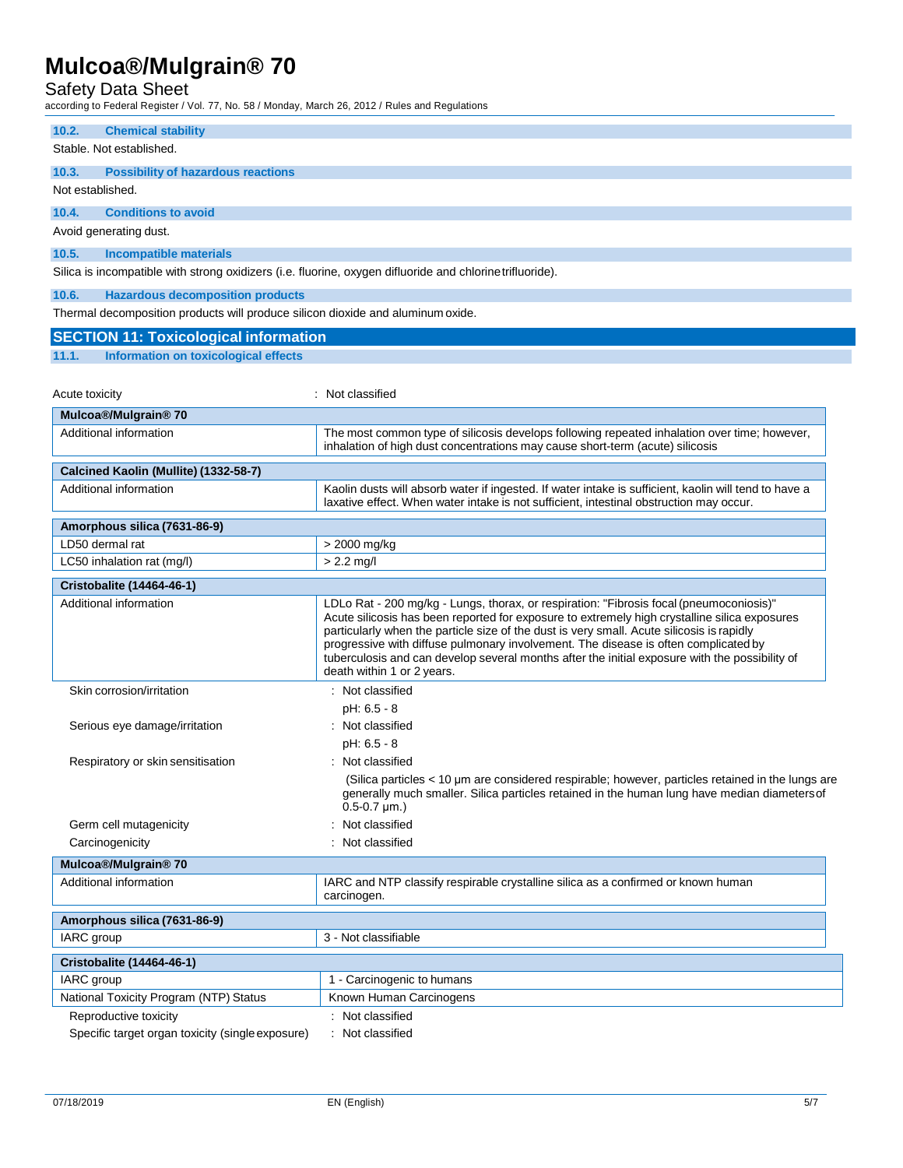### Safety Data Sheet

according to Federal Register / Vol. 77, No. 58 / Monday, March 26, 2012 / Rules and Regulations

|                       | ooranig to Fodoral Rogiotor / Vol. 11, Ro. 60 / Monady, Maron 20, 2012 / Raioo and Roy |                                                                                                                                                                                                                                                                                                                                                                                                                                                                                                              |
|-----------------------|----------------------------------------------------------------------------------------|--------------------------------------------------------------------------------------------------------------------------------------------------------------------------------------------------------------------------------------------------------------------------------------------------------------------------------------------------------------------------------------------------------------------------------------------------------------------------------------------------------------|
| 10.2.                 | <b>Chemical stability</b>                                                              |                                                                                                                                                                                                                                                                                                                                                                                                                                                                                                              |
|                       | Stable. Not established.                                                               |                                                                                                                                                                                                                                                                                                                                                                                                                                                                                                              |
| 10.3.                 | <b>Possibility of hazardous reactions</b>                                              |                                                                                                                                                                                                                                                                                                                                                                                                                                                                                                              |
|                       | Not established.                                                                       |                                                                                                                                                                                                                                                                                                                                                                                                                                                                                                              |
| 10.4.                 | <b>Conditions to avoid</b>                                                             |                                                                                                                                                                                                                                                                                                                                                                                                                                                                                                              |
|                       | Avoid generating dust.                                                                 |                                                                                                                                                                                                                                                                                                                                                                                                                                                                                                              |
| 10.5.                 | <b>Incompatible materials</b>                                                          |                                                                                                                                                                                                                                                                                                                                                                                                                                                                                                              |
|                       |                                                                                        | Silica is incompatible with strong oxidizers (i.e. fluorine, oxygen difluoride and chlorine trifluoride).                                                                                                                                                                                                                                                                                                                                                                                                    |
| 10.6.                 | <b>Hazardous decomposition products</b>                                                |                                                                                                                                                                                                                                                                                                                                                                                                                                                                                                              |
|                       | Thermal decomposition products will produce silicon dioxide and aluminum oxide.        |                                                                                                                                                                                                                                                                                                                                                                                                                                                                                                              |
|                       | <b>SECTION 11: Toxicological information</b>                                           |                                                                                                                                                                                                                                                                                                                                                                                                                                                                                                              |
| 11.1.                 | Information on toxicological effects                                                   |                                                                                                                                                                                                                                                                                                                                                                                                                                                                                                              |
|                       |                                                                                        |                                                                                                                                                                                                                                                                                                                                                                                                                                                                                                              |
| <b>Acute toxicity</b> |                                                                                        | : Not classified                                                                                                                                                                                                                                                                                                                                                                                                                                                                                             |
|                       | Mulcoa®/Mulgrain® 70                                                                   |                                                                                                                                                                                                                                                                                                                                                                                                                                                                                                              |
|                       | Additional information                                                                 | The most common type of silicosis develops following repeated inhalation over time; however,<br>inhalation of high dust concentrations may cause short-term (acute) silicosis                                                                                                                                                                                                                                                                                                                                |
|                       | Calcined Kaolin (Mullite) (1332-58-7)                                                  |                                                                                                                                                                                                                                                                                                                                                                                                                                                                                                              |
|                       | Additional information                                                                 | Kaolin dusts will absorb water if ingested. If water intake is sufficient, kaolin will tend to have a                                                                                                                                                                                                                                                                                                                                                                                                        |
|                       |                                                                                        | laxative effect. When water intake is not sufficient, intestinal obstruction may occur.                                                                                                                                                                                                                                                                                                                                                                                                                      |
|                       | Amorphous silica (7631-86-9)                                                           |                                                                                                                                                                                                                                                                                                                                                                                                                                                                                                              |
|                       | LD50 dermal rat                                                                        | > 2000 mg/kg                                                                                                                                                                                                                                                                                                                                                                                                                                                                                                 |
|                       | LC50 inhalation rat (mg/l)                                                             | $> 2.2$ mg/l                                                                                                                                                                                                                                                                                                                                                                                                                                                                                                 |
|                       | Cristobalite (14464-46-1)                                                              |                                                                                                                                                                                                                                                                                                                                                                                                                                                                                                              |
|                       | Additional information                                                                 | LDLo Rat - 200 mg/kg - Lungs, thorax, or respiration: "Fibrosis focal (pneumoconiosis)"<br>Acute silicosis has been reported for exposure to extremely high crystalline silica exposures<br>particularly when the particle size of the dust is very small. Acute silicosis is rapidly<br>progressive with diffuse pulmonary involvement. The disease is often complicated by<br>tuberculosis and can develop several months after the initial exposure with the possibility of<br>death within 1 or 2 years. |
|                       | Skin corrosion/irritation                                                              | : Not classified                                                                                                                                                                                                                                                                                                                                                                                                                                                                                             |
|                       |                                                                                        | $pH: 6.5 - 8$                                                                                                                                                                                                                                                                                                                                                                                                                                                                                                |
|                       | Serious eye damage/irritation                                                          | : Not classified                                                                                                                                                                                                                                                                                                                                                                                                                                                                                             |
|                       |                                                                                        | pH: 6.5 - 8                                                                                                                                                                                                                                                                                                                                                                                                                                                                                                  |
|                       | Respiratory or skin sensitisation                                                      | : Not classified                                                                                                                                                                                                                                                                                                                                                                                                                                                                                             |
|                       |                                                                                        | (Silica particles < 10 µm are considered respirable; however, particles retained in the lungs are<br>generally much smaller. Silica particles retained in the human lung have median diameters of<br>$0.5 - 0.7 \mu m.$ )                                                                                                                                                                                                                                                                                    |
|                       | Germ cell mutagenicity                                                                 | : Not classified                                                                                                                                                                                                                                                                                                                                                                                                                                                                                             |
|                       | Carcinogenicity                                                                        | : Not classified                                                                                                                                                                                                                                                                                                                                                                                                                                                                                             |
|                       | Mulcoa®/Mulgrain® 70                                                                   |                                                                                                                                                                                                                                                                                                                                                                                                                                                                                                              |
|                       | Additional information                                                                 | IARC and NTP classify respirable crystalline silica as a confirmed or known human<br>carcinogen.                                                                                                                                                                                                                                                                                                                                                                                                             |
|                       | Amorphous silica (7631-86-9)                                                           |                                                                                                                                                                                                                                                                                                                                                                                                                                                                                                              |
| IARC group            |                                                                                        | 3 - Not classifiable                                                                                                                                                                                                                                                                                                                                                                                                                                                                                         |
|                       | <b>Cristobalite (14464-46-1)</b>                                                       |                                                                                                                                                                                                                                                                                                                                                                                                                                                                                                              |
| IARC group            |                                                                                        | 1 - Carcinogenic to humans                                                                                                                                                                                                                                                                                                                                                                                                                                                                                   |
|                       | National Toxicity Program (NTP) Status                                                 | Known Human Carcinogens                                                                                                                                                                                                                                                                                                                                                                                                                                                                                      |
|                       | Reproductive toxicity                                                                  | : Not classified                                                                                                                                                                                                                                                                                                                                                                                                                                                                                             |
|                       |                                                                                        |                                                                                                                                                                                                                                                                                                                                                                                                                                                                                                              |

Specific target organ toxicity (single exposure) : Not classified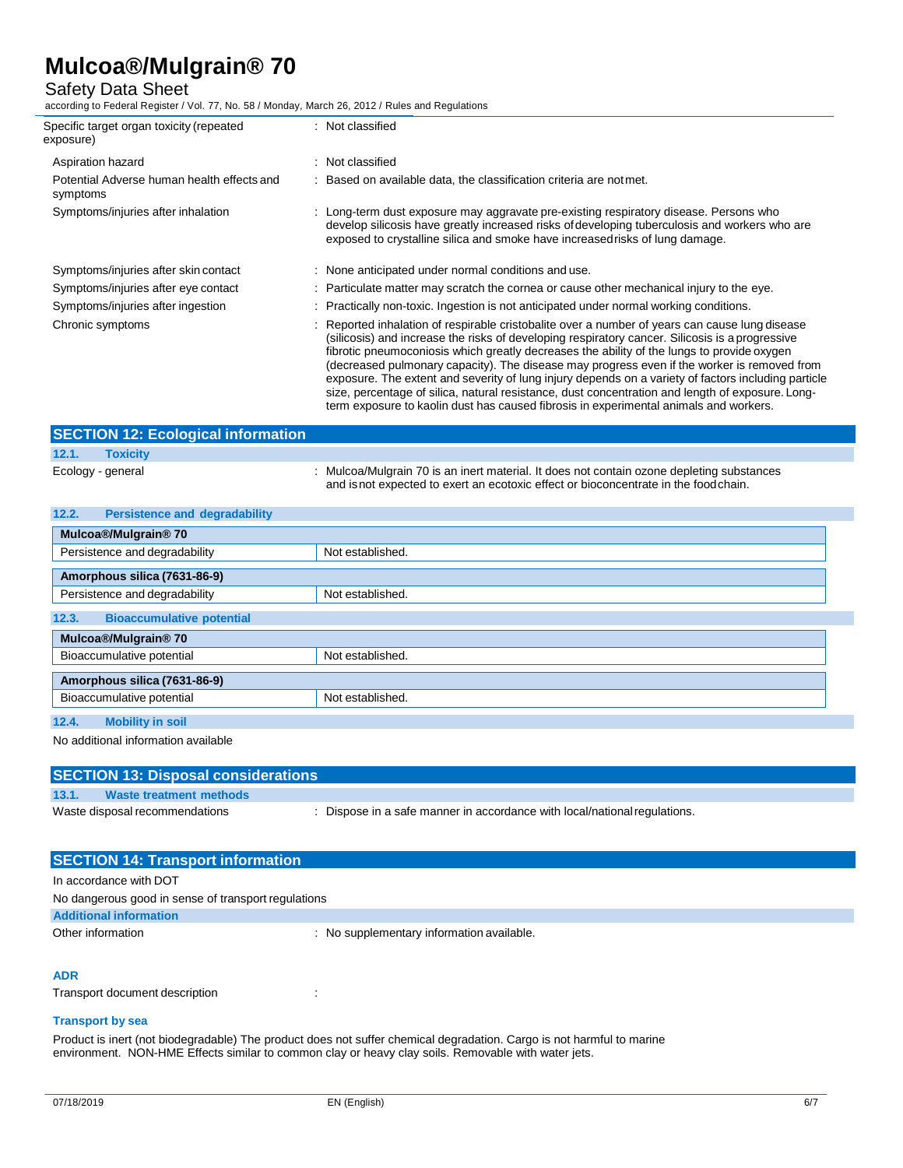### Safety Data Sheet

according to Federal Register / Vol. 77, No. 58 / Monday, March 26, 2012 / Rules and Regulations

| Specific target organ toxicity (repeated<br>exposure)  | Not classified                                                                                                                                                                                                                                                                                                                                                                                                                                                                                                                                                                                          |
|--------------------------------------------------------|---------------------------------------------------------------------------------------------------------------------------------------------------------------------------------------------------------------------------------------------------------------------------------------------------------------------------------------------------------------------------------------------------------------------------------------------------------------------------------------------------------------------------------------------------------------------------------------------------------|
| Aspiration hazard                                      | Not classified                                                                                                                                                                                                                                                                                                                                                                                                                                                                                                                                                                                          |
| Potential Adverse human health effects and<br>symptoms | Based on available data, the classification criteria are not met.                                                                                                                                                                                                                                                                                                                                                                                                                                                                                                                                       |
| Symptoms/injuries after inhalation                     | : Long-term dust exposure may aggravate pre-existing respiratory disease. Persons who<br>develop silicosis have greatly increased risks of developing tuberculosis and workers who are<br>exposed to crystalline silica and smoke have increased risks of lung damage.                                                                                                                                                                                                                                                                                                                                  |
| Symptoms/injuries after skin contact                   | : None anticipated under normal conditions and use.                                                                                                                                                                                                                                                                                                                                                                                                                                                                                                                                                     |
| Symptoms/injuries after eye contact                    | Particulate matter may scratch the cornea or cause other mechanical injury to the eye.                                                                                                                                                                                                                                                                                                                                                                                                                                                                                                                  |
| Symptoms/injuries after ingestion                      | Practically non-toxic. Ingestion is not anticipated under normal working conditions.                                                                                                                                                                                                                                                                                                                                                                                                                                                                                                                    |
| Chronic symptoms                                       | Reported inhalation of respirable cristobalite over a number of years can cause lung disease<br>(silicosis) and increase the risks of developing respiratory cancer. Silicosis is a progressive<br>fibrotic pneumoconiosis which greatly decreases the ability of the lungs to provide oxygen<br>(decreased pulmonary capacity). The disease may progress even if the worker is removed from<br>exposure. The extent and severity of lung injury depends on a variety of factors including particle<br>size, percentage of silica, natural resistance, dust concentration and length of exposure. Long- |

| <b>SECTION 12: Ecological information</b> |                                                                                                                                                                                   |
|-------------------------------------------|-----------------------------------------------------------------------------------------------------------------------------------------------------------------------------------|
| 12.1.<br><b>Toxicity</b>                  |                                                                                                                                                                                   |
| Ecology - general                         | : Mulcoa/Mulgrain 70 is an inert material. It does not contain ozone depleting substances<br>and is not expected to exert an ecotoxic effect or bioconcentrate in the food chain. |

term exposure to kaolin dust has caused fibrosis in experimental animals and workers.

| 12.2.<br><b>Persistence and degradability</b> |                  |  |
|-----------------------------------------------|------------------|--|
| Mulcoa®/Mulgrain® 70                          |                  |  |
| Persistence and degradability                 | Not established. |  |
| Amorphous silica (7631-86-9)                  |                  |  |
| Persistence and degradability                 | Not established. |  |
| 12.3.<br><b>Bioaccumulative potential</b>     |                  |  |
| Mulcoa®/Mulgrain® 70                          |                  |  |
| Bioaccumulative potential                     | Not established. |  |
| Amorphous silica (7631-86-9)                  |                  |  |
| Bioaccumulative potential                     | Not established. |  |
| 12.4.<br><b>Mobility in soil</b>              |                  |  |

No additional information available

| <b>SECTION 13: Disposal considerations</b> |                                |                                                                         |  |  |
|--------------------------------------------|--------------------------------|-------------------------------------------------------------------------|--|--|
| 13.1.                                      | Waste treatment methods        |                                                                         |  |  |
|                                            | Waste disposal recommendations | Dispose in a safe manner in accordance with local/national regulations. |  |  |
|                                            |                                |                                                                         |  |  |

| <b>SECTION 14: Transport information</b>            |                                           |  |
|-----------------------------------------------------|-------------------------------------------|--|
| In accordance with DOT                              |                                           |  |
| No dangerous good in sense of transport regulations |                                           |  |
| <b>Additional information</b>                       |                                           |  |
| Other information                                   | : No supplementary information available. |  |

### **ADR**

Transport document description : : : :

### **Transport by sea**

Product is inert (not biodegradable) The product does not suffer chemical degradation. Cargo is not harmful to marine environment. NON-HME Effects similar to common clay or heavy clay soils. Removable with water jets.